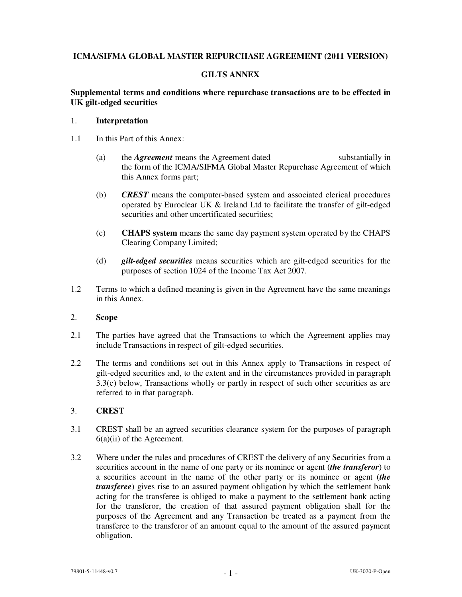## **ICMA/SIFMA GLOBAL MASTER REPURCHASE AGREEMENT (2011 VERSION)**

# **GILTS ANNEX**

### **Supplemental terms and conditions where repurchase transactions are to be effected in UK gilt-edged securities**

#### 1. **Interpretation**

- 1.1 In this Part of this Annex:
	- (a) the *Agreement* means the Agreement dated substantially in the form of the ICMA/SIFMA Global Master Repurchase Agreement of which this Annex forms part;
	- (b) *CREST* means the computer-based system and associated clerical procedures operated by Euroclear UK & Ireland Ltd to facilitate the transfer of gilt-edged securities and other uncertificated securities;
	- (c) **CHAPS system** means the same day payment system operated by the CHAPS Clearing Company Limited;
	- (d) *gilt-edged securities* means securities which are gilt-edged securities for the purposes of section 1024 of the Income Tax Act 2007.
- 1.2 Terms to which a defined meaning is given in the Agreement have the same meanings in this Annex.

## 2. **Scope**

- 2.1 The parties have agreed that the Transactions to which the Agreement applies may include Transactions in respect of gilt-edged securities.
- 2.2 The terms and conditions set out in this Annex apply to Transactions in respect of gilt-edged securities and, to the extent and in the circumstances provided in paragraph 3.3(c) below, Transactions wholly or partly in respect of such other securities as are referred to in that paragraph.

### 3. **CREST**

- 3.1 CREST shall be an agreed securities clearance system for the purposes of paragraph  $6(a)(ii)$  of the Agreement.
- 3.2 Where under the rules and procedures of CREST the delivery of any Securities from a securities account in the name of one party or its nominee or agent (*the transferor*) to a securities account in the name of the other party or its nominee or agent (*the transferee*) gives rise to an assured payment obligation by which the settlement bank acting for the transferee is obliged to make a payment to the settlement bank acting for the transferor, the creation of that assured payment obligation shall for the purposes of the Agreement and any Transaction be treated as a payment from the transferee to the transferor of an amount equal to the amount of the assured payment obligation.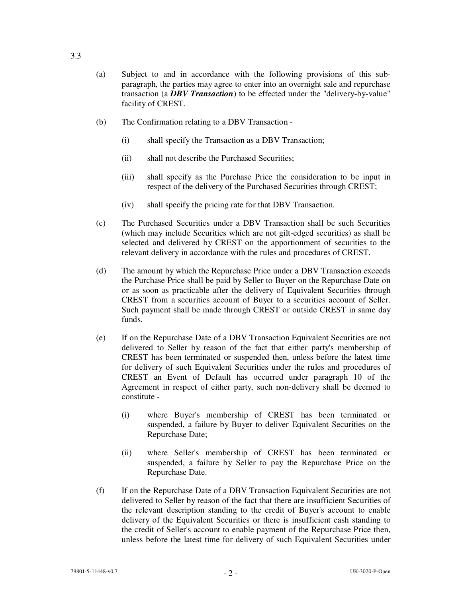- (a) Subject to and in accordance with the following provisions of this subparagraph, the parties may agree to enter into an overnight sale and repurchase transaction (a *DBV Transaction*) to be effected under the "delivery-by-value" facility of CREST.
- (b) The Confirmation relating to a DBV Transaction
	- (i) shall specify the Transaction as a DBV Transaction;
	- (ii) shall not describe the Purchased Securities;
	- (iii) shall specify as the Purchase Price the consideration to be input in respect of the delivery of the Purchased Securities through CREST;
	- (iv) shall specify the pricing rate for that DBV Transaction.
- (c) The Purchased Securities under a DBV Transaction shall be such Securities (which may include Securities which are not gilt-edged securities) as shall be selected and delivered by CREST on the apportionment of securities to the relevant delivery in accordance with the rules and procedures of CREST.
- (d) The amount by which the Repurchase Price under a DBV Transaction exceeds the Purchase Price shall be paid by Seller to Buyer on the Repurchase Date on or as soon as practicable after the delivery of Equivalent Securities through CREST from a securities account of Buyer to a securities account of Seller. Such payment shall be made through CREST or outside CREST in same day funds.
- (e) If on the Repurchase Date of a DBV Transaction Equivalent Securities are not delivered to Seller by reason of the fact that either party's membership of CREST has been terminated or suspended then, unless before the latest time for delivery of such Equivalent Securities under the rules and procedures of CREST an Event of Default has occurred under paragraph 10 of the Agreement in respect of either party, such non-delivery shall be deemed to constitute -
	- (i) where Buyer's membership of CREST has been terminated or suspended, a failure by Buyer to deliver Equivalent Securities on the Repurchase Date;
	- (ii) where Seller's membership of CREST has been terminated or suspended, a failure by Seller to pay the Repurchase Price on the Repurchase Date.
- (f) If on the Repurchase Date of a DBV Transaction Equivalent Securities are not delivered to Seller by reason of the fact that there are insufficient Securities of the relevant description standing to the credit of Buyer's account to enable delivery of the Equivalent Securities or there is insufficient cash standing to the credit of Seller's account to enable payment of the Repurchase Price then, unless before the latest time for delivery of such Equivalent Securities under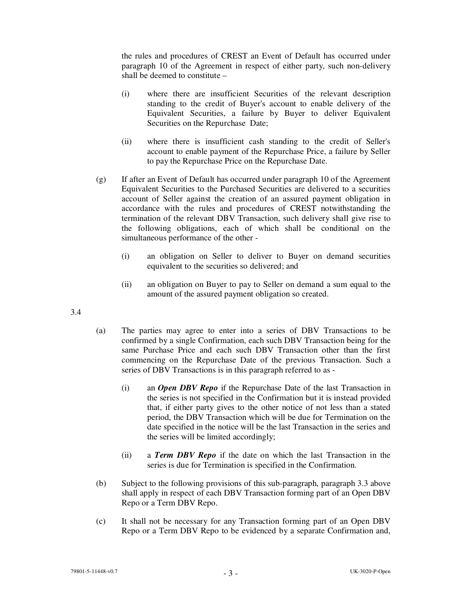the rules and procedures of CREST an Event of Default has occurred under paragraph 10 of the Agreement in respect of either party, such non-delivery shall be deemed to constitute –

- (i) where there are insufficient Securities of the relevant description standing to the credit of Buyer's account to enable delivery of the Equivalent Securities, a failure by Buyer to deliver Equivalent Securities on the Repurchase Date;
- (ii) where there is insufficient cash standing to the credit of Seller's account to enable payment of the Repurchase Price, a failure by Seller to pay the Repurchase Price on the Repurchase Date.
- (g) If after an Event of Default has occurred under paragraph 10 of the Agreement Equivalent Securities to the Purchased Securities are delivered to a securities account of Seller against the creation of an assured payment obligation in accordance with the rules and procedures of CREST notwithstanding the termination of the relevant DBV Transaction, such delivery shall give rise to the following obligations, each of which shall be conditional on the simultaneous performance of the other -
	- (i) an obligation on Seller to deliver to Buyer on demand securities equivalent to the securities so delivered; and
	- (ii) an obligation on Buyer to pay to Seller on demand a sum equal to the amount of the assured payment obligation so created.
- 3.4
- (a) The parties may agree to enter into a series of DBV Transactions to be confirmed by a single Confirmation, each such DBV Transaction being for the same Purchase Price and each such DBV Transaction other than the first commencing on the Repurchase Date of the previous Transaction. Such a series of DBV Transactions is in this paragraph referred to as -
	- (i) an *Open DBV Repo* if the Repurchase Date of the last Transaction in the series is not specified in the Confirmation but it is instead provided that, if either party gives to the other notice of not less than a stated period, the DBV Transaction which will be due for Termination on the date specified in the notice will be the last Transaction in the series and the series will be limited accordingly;
	- (ii) a *Term DBV Repo* if the date on which the last Transaction in the series is due for Termination is specified in the Confirmation.
- (b) Subject to the following provisions of this sub-paragraph, paragraph 3.3 above shall apply in respect of each DBV Transaction forming part of an Open DBV Repo or a Term DBV Repo.
- (c) It shall not be necessary for any Transaction forming part of an Open DBV Repo or a Term DBV Repo to be evidenced by a separate Confirmation and,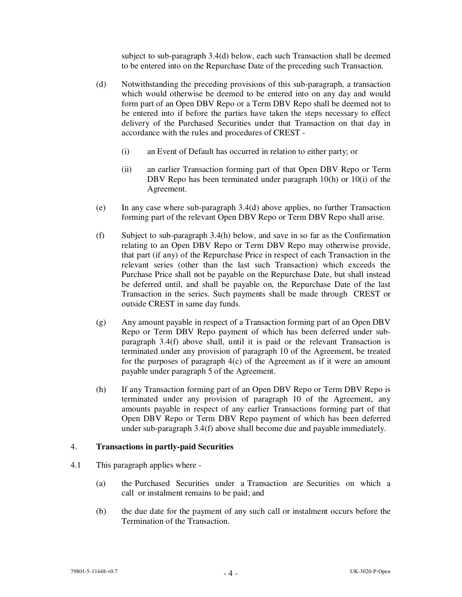subject to sub-paragraph 3.4(d) below, each such Transaction shall be deemed to be entered into on the Repurchase Date of the preceding such Transaction.

- (d) Notwithstanding the preceding provisions of this sub-paragraph, a transaction which would otherwise be deemed to be entered into on any day and would form part of an Open DBV Repo or a Term DBV Repo shall be deemed not to be entered into if before the parties have taken the steps necessary to effect delivery of the Purchased Securities under that Transaction on that day in accordance with the rules and procedures of CREST -
	- (i) an Event of Default has occurred in relation to either party; or
	- (ii) an earlier Transaction forming part of that Open DBV Repo or Term DBV Repo has been terminated under paragraph 10(h) or 10(i) of the Agreement.
- (e) In any case where sub-paragraph 3.4(d) above applies, no further Transaction forming part of the relevant Open DBV Repo or Term DBV Repo shall arise.
- (f) Subject to sub-paragraph 3.4(h) below, and save in so far as the Confirmation relating to an Open DBV Repo or Term DBV Repo may otherwise provide, that part (if any) of the Repurchase Price in respect of each Transaction in the relevant series (other than the last such Transaction) which exceeds the Purchase Price shall not be payable on the Repurchase Date, but shall instead be deferred until, and shall be payable on, the Repurchase Date of the last Transaction in the series. Such payments shall be made through CREST or outside CREST in same day funds.
- (g) Any amount payable in respect of a Transaction forming part of an Open DBV Repo or Term DBV Repo payment of which has been deferred under subparagraph 3.4(f) above shall, until it is paid or the relevant Transaction is terminated under any provision of paragraph 10 of the Agreement, be treated for the purposes of paragraph  $4(c)$  of the Agreement as if it were an amount payable under paragraph 5 of the Agreement.
- (h) If any Transaction forming part of an Open DBV Repo or Term DBV Repo is terminated under any provision of paragraph 10 of the Agreement, any amounts payable in respect of any earlier Transactions forming part of that Open DBV Repo or Term DBV Repo payment of which has been deferred under sub-paragraph 3.4(f) above shall become due and payable immediately.

### 4. **Transactions in partly-paid Securities**

- 4.1 This paragraph applies where
	- (a) the Purchased Securities under a Transaction are Securities on which a call or instalment remains to be paid; and
	- (b) the due date for the payment of any such call or instalment occurs before the Termination of the Transaction.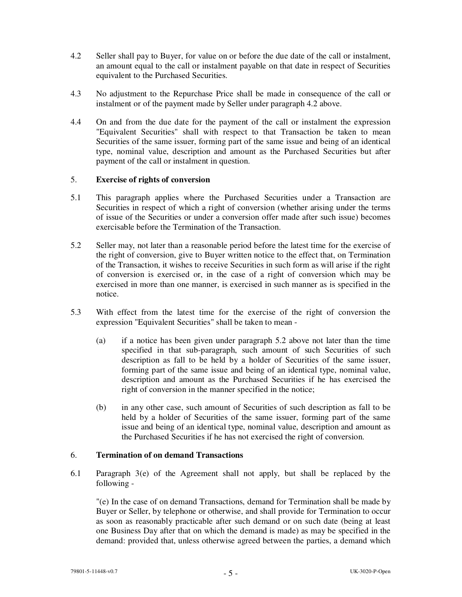- 4.2 Seller shall pay to Buyer, for value on or before the due date of the call or instalment, an amount equal to the call or instalment payable on that date in respect of Securities equivalent to the Purchased Securities.
- 4.3 No adjustment to the Repurchase Price shall be made in consequence of the call or instalment or of the payment made by Seller under paragraph 4.2 above.
- 4.4 On and from the due date for the payment of the call or instalment the expression "Equivalent Securities" shall with respect to that Transaction be taken to mean Securities of the same issuer, forming part of the same issue and being of an identical type, nominal value, description and amount as the Purchased Securities but after payment of the call or instalment in question.

#### 5. **Exercise of rights of conversion**

- 5.1 This paragraph applies where the Purchased Securities under a Transaction are Securities in respect of which a right of conversion (whether arising under the terms of issue of the Securities or under a conversion offer made after such issue) becomes exercisable before the Termination of the Transaction.
- 5.2 Seller may, not later than a reasonable period before the latest time for the exercise of the right of conversion, give to Buyer written notice to the effect that, on Termination of the Transaction, it wishes to receive Securities in such form as will arise if the right of conversion is exercised or, in the case of a right of conversion which may be exercised in more than one manner, is exercised in such manner as is specified in the notice.
- 5.3 With effect from the latest time for the exercise of the right of conversion the expression "Equivalent Securities" shall be taken to mean -
	- (a) if a notice has been given under paragraph 5.2 above not later than the time specified in that sub-paragraph, such amount of such Securities of such description as fall to be held by a holder of Securities of the same issuer, forming part of the same issue and being of an identical type, nominal value, description and amount as the Purchased Securities if he has exercised the right of conversion in the manner specified in the notice;
	- (b) in any other case, such amount of Securities of such description as fall to be held by a holder of Securities of the same issuer, forming part of the same issue and being of an identical type, nominal value, description and amount as the Purchased Securities if he has not exercised the right of conversion.

### 6. **Termination of on demand Transactions**

6.1 Paragraph 3(e) of the Agreement shall not apply, but shall be replaced by the following -

"(e) In the case of on demand Transactions, demand for Termination shall be made by Buyer or Seller, by telephone or otherwise, and shall provide for Termination to occur as soon as reasonably practicable after such demand or on such date (being at least one Business Day after that on which the demand is made) as may be specified in the demand: provided that, unless otherwise agreed between the parties, a demand which